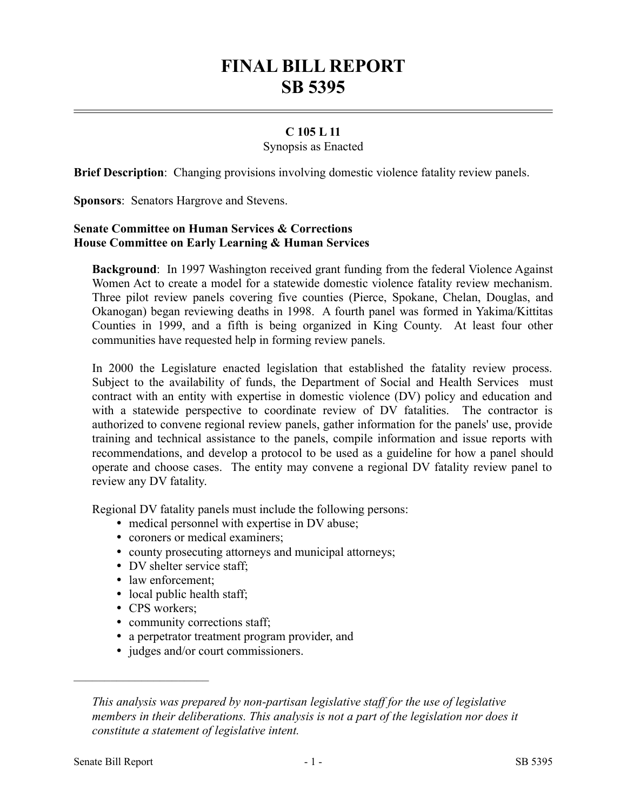# **FINAL BILL REPORT SB 5395**

# **C 105 L 11**

## Synopsis as Enacted

**Brief Description**: Changing provisions involving domestic violence fatality review panels.

**Sponsors**: Senators Hargrove and Stevens.

## **Senate Committee on Human Services & Corrections House Committee on Early Learning & Human Services**

**Background**: In 1997 Washington received grant funding from the federal Violence Against Women Act to create a model for a statewide domestic violence fatality review mechanism. Three pilot review panels covering five counties (Pierce, Spokane, Chelan, Douglas, and Okanogan) began reviewing deaths in 1998. A fourth panel was formed in Yakima/Kittitas Counties in 1999, and a fifth is being organized in King County. At least four other communities have requested help in forming review panels.

In 2000 the Legislature enacted legislation that established the fatality review process. Subject to the availability of funds, the Department of Social and Health Services must contract with an entity with expertise in domestic violence (DV) policy and education and with a statewide perspective to coordinate review of DV fatalities. The contractor is authorized to convene regional review panels, gather information for the panels' use, provide training and technical assistance to the panels, compile information and issue reports with recommendations, and develop a protocol to be used as a guideline for how a panel should operate and choose cases. The entity may convene a regional DV fatality review panel to review any DV fatality.

Regional DV fatality panels must include the following persons:

- medical personnel with expertise in DV abuse;
- coroners or medical examiners;
- county prosecuting attorneys and municipal attorneys;
- DV shelter service staff;
- law enforcement;
- local public health staff;
- CPS workers;

––––––––––––––––––––––

- community corrections staff;
- a perpetrator treatment program provider, and
- judges and/or court commissioners.

*This analysis was prepared by non-partisan legislative staff for the use of legislative members in their deliberations. This analysis is not a part of the legislation nor does it constitute a statement of legislative intent.*